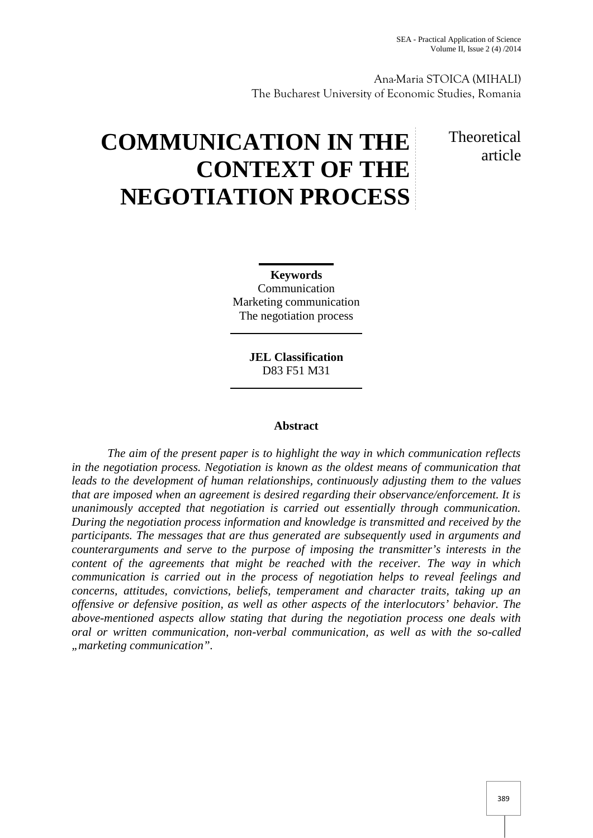Ana-Maria STOICA (MIHALI) The Bucharest University of Economic Studies, Romania

# **COMMUNICATION IN THE CONTEXT OF THE NEGOTIATION PROCESS**

# **Theoretical** article

**Keywords** Communication Marketing communication The negotiation process

> **JEL Classification** D83 F51 M31

# **Abstract**

*The aim of the present paper is to highlight the way in which communication reflects in the negotiation process. Negotiation is known as the oldest means of communication that leads to the development of human relationships, continuously adjusting them to the values that are imposed when an agreement is desired regarding their observance/enforcement. It is unanimously accepted that negotiation is carried out essentially through communication. During the negotiation process information and knowledge is transmitted and received by the participants. The messages that are thus generated are subsequently used in arguments and counterarguments and serve to the purpose of imposing the transmitter's interests in the content of the agreements that might be reached with the receiver. The way in which communication is carried out in the process of negotiation helps to reveal feelings and concerns, attitudes, convictions, beliefs, temperament and character traits, taking up an offensive or defensive position, as well as other aspects of the interlocutors' behavior. The above-mentioned aspects allow stating that during the negotiation process one deals with oral or written communication, non-verbal communication, as well as with the so-called "marketing communication".*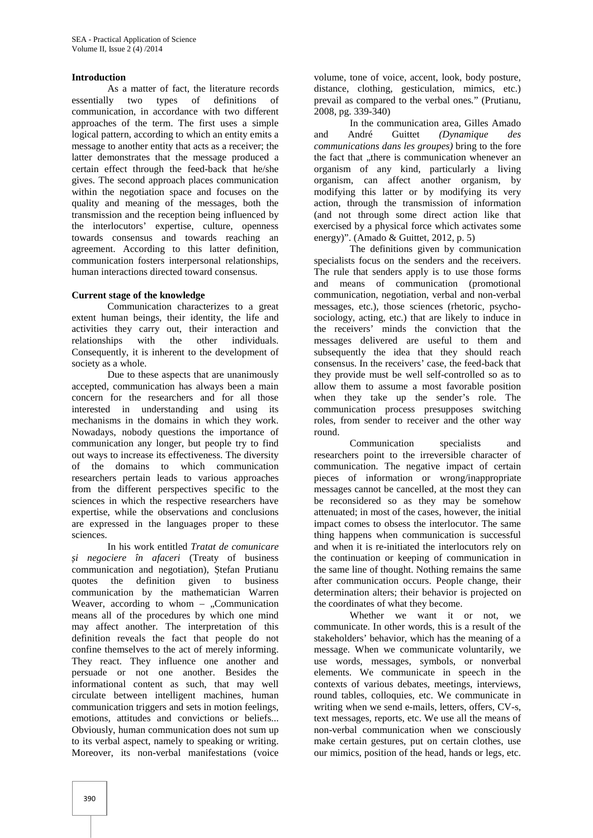#### **Introduction**

As a matter of fact, the literature records essentially two types of definitions of communication, in accordance with two different approaches of the term. The first uses a simple logical pattern, according to which an entity emits a message to another entity that acts as a receiver; the latter demonstrates that the message produced a certain effect through the feed-back that he/she gives. The second approach places communication within the negotiation space and focuses on the quality and meaning of the messages, both the transmission and the reception being influenced by the interlocutors' expertise, culture, openness towards consensus and towards reaching an agreement. According to this latter definition, communication fosters interpersonal relationships, human interactions directed toward consensus.

# **Current stage of the knowledge**

Communication characterizes to a great extent human beings, their identity, the life and activities they carry out, their interaction and relationships with the other individuals. Consequently, it is inherent to the development of society as a whole.

Due to these aspects that are unanimously accepted, communication has always been a main concern for the researchers and for all those interested in understanding and using its mechanisms in the domains in which they work. Nowadays, nobody questions the importance of communication any longer, but people try to find out ways to increase its effectiveness. The diversity of the domains to which communication researchers pertain leads to various approaches from the different perspectives specific to the sciences in which the respective researchers have expertise, while the observations and conclusions are expressed in the languages proper to these sciences.

In his work entitled *Tratat de comunicare și negociere în afaceri* (Treaty of business communication and negotiation), tefan Prutianu quotes the definition given to business communication by the mathematician Warren Weaver, according to whom  $-$ , Communication means all of the procedures by which one mind may affect another. The interpretation of this definition reveals the fact that people do not confine themselves to the act of merely informing. They react. They influence one another and persuade or not one another. Besides the informational content as such, that may well circulate between intelligent machines, human communication triggers and sets in motion feelings, emotions, attitudes and convictions or beliefs... Obviously, human communication does not sum up to its verbal aspect, namely to speaking or writing. Moreover, its non-verbal manifestations (voice

volume, tone of voice, accent, look, body posture, distance, clothing, gesticulation, mimics, etc.) prevail as compared to the verbal ones*.*" (Prutianu, 2008, pg. 339-340)

In the communication area, Gilles Amado and André Guittet *(Dynamique des communications dans les groupes)* bring to the fore the fact that ..there is communication whenever an organism of any kind, particularly a living organism, can affect another organism, by modifying this latter or by modifying its very action, through the transmission of information (and not through some direct action like that exercised by a physical force which activates some energy)". (Amado & Guittet, 2012, p. 5)

The definitions given by communication specialists focus on the senders and the receivers. The rule that senders apply is to use those forms and means of communication (promotional communication, negotiation, verbal and non-verbal messages, etc.), those sciences (rhetoric, psycho sociology, acting, etc.) that are likely to induce in the receivers' minds the conviction that the messages delivered are useful to them and subsequently the idea that they should reach consensus. In the receivers' case, the feed-back that they provide must be well self-controlled so as to allow them to assume a most favorable position when they take up the sender's role. The communication process presupposes switching roles, from sender to receiver and the other way round.

Communication specialists and researchers point to the irreversible character of communication. The negative impact of certain pieces of information or wrong/inappropriate messages cannot be cancelled, at the most they can be reconsidered so as they may be somehow attenuated; in most of the cases, however, the initial impact comes to obsess the interlocutor. The same thing happens when communication is successful and when it is re-initiated the interlocutors rely on the continuation or keeping of communication in the same line of thought. Nothing remains the same after communication occurs. People change, their determination alters; their behavior is projected on the coordinates of what they become.

Whether we want it or not, we communicate. In other words, this is a result of the stakeholders' behavior, which has the meaning of a message. When we communicate voluntarily, we use words, messages, symbols, or nonverbal elements. We communicate in speech in the contexts of various debates, meetings, interviews, round tables, colloquies, etc. We communicate in writing when we send e-mails, letters, offers, CV-s, text messages, reports, etc. We use all the means of non-verbal communication when we consciously make certain gestures, put on certain clothes, use our mimics, position of the head, hands or legs, etc.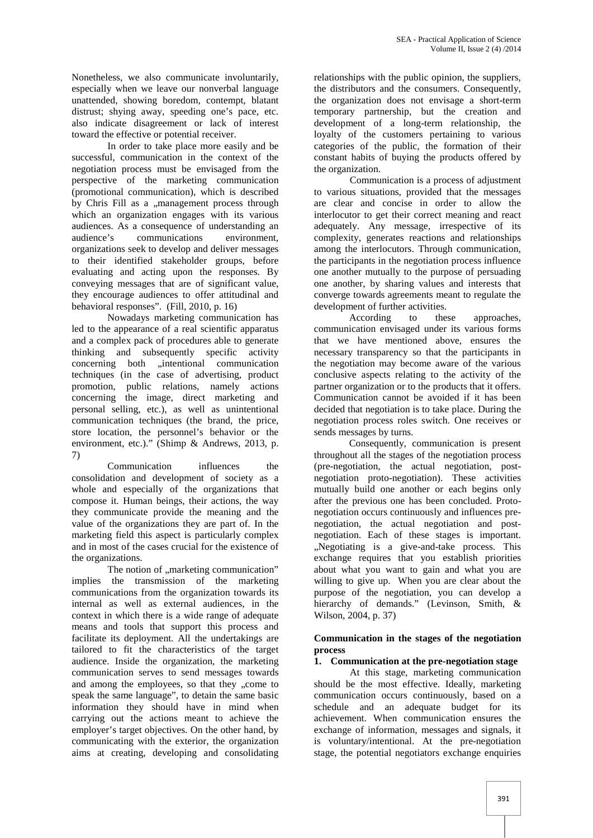Nonetheless, we also communicate involuntarily, especially when we leave our nonverbal language unattended, showing boredom, contempt, blatant distrust; shying away, speeding one's pace, etc. also indicate disagreement or lack of interest toward the effective or potential receiver.

In order to take place more easily and be successful, communication in the context of the negotiation process must be envisaged from the perspective of the marketing communication (promotional communication), which is described by Chris Fill as a "management process through which an organization engages with its various audiences. As a consequence of understanding an communications environment. organizations seek to develop and deliver messages to their identified stakeholder groups, before evaluating and acting upon the responses. By conveying messages that are of significant value, they encourage audiences to offer attitudinal and behavioral responses". (Fill, 2010, p. 16)

Nowadays marketing communication has led to the appearance of a real scientific apparatus and a complex pack of procedures able to generate thinking and subsequently specific activity concerning both "intentional communication techniques (in the case of advertising, product promotion, public relations, namely actions concerning the image, direct marketing and personal selling, etc.), as well as unintentional communication techniques (the brand, the price, store location, the personnel's behavior or the environment, etc.)." (Shimp & Andrews, 2013, p. 7)

Communication influences the consolidation and development of society as a whole and especially of the organizations that compose it. Human beings, their actions, the way they communicate provide the meaning and the value of the organizations they are part of. In the marketing field this aspect is particularly complex and in most of the cases crucial for the existence of the organizations.

The notion of "marketing communication" implies the transmission of the marketing communications from the organization towards its internal as well as external audiences, in the context in which there is a wide range of adequate means and tools that support this process and facilitate its deployment. All the undertakings are tailored to fit the characteristics of the target audience. Inside the organization, the marketing communication serves to send messages towards and among the employees, so that they "come to speak the same language", to detain the same basic information they should have in mind when carrying out the actions meant to achieve the employer's target objectives. On the other hand, by communicating with the exterior, the organization aims at creating, developing and consolidating relationships with the public opinion, the suppliers, the distributors and the consumers. Consequently, the organization does not envisage a short-term temporary partnership, but the creation and development of a long-term relationship, the loyalty of the customers pertaining to various categories of the public, the formation of their constant habits of buying the products offered by the organization.

Communication is a process of adjustment to various situations, provided that the messages are clear and concise in order to allow the interlocutor to get their correct meaning and react adequately. Any message, irrespective of its complexity, generates reactions and relationships among the interlocutors. Through communication, the participants in the negotiation process influence one another mutually to the purpose of persuading one another, by sharing values and interests that converge towards agreements meant to regulate the development of further activities.

According to these approaches, communication envisaged under its various forms that we have mentioned above, ensures the necessary transparency so that the participants in the negotiation may become aware of the various conclusive aspects relating to the activity of the partner organization or to the products that it offers. Communication cannot be avoided if it has been decided that negotiation is to take place. During the negotiation process roles switch. One receives or sends messages by turns.

Consequently, communication is present throughout all the stages of the negotiation process (pre-negotiation, the actual negotiation, post negotiation proto-negotiation). These activities mutually build one another or each begins only after the previous one has been concluded. Proto negotiation occurs continuously and influences pre negotiation, the actual negotiation and post negotiation. Each of these stages is important. "Negotiating is a give-and-take process. This exchange requires that you establish priorities about what you want to gain and what you are willing to give up. When you are clear about the purpose of the negotiation, you can develop a hierarchy of demands." (Levinson, Smith, & Wilson, 2004, p. 37)

# **Communication in the stages of the negotiation process**

# **1. Communication at the pre-negotiation stage**

At this stage, marketing communication should be the most effective. Ideally, marketing communication occurs continuously, based on a schedule and an adequate budget for its achievement. When communication ensures the exchange of information, messages and signals, it is voluntary/intentional. At the pre-negotiation stage, the potential negotiators exchange enquiries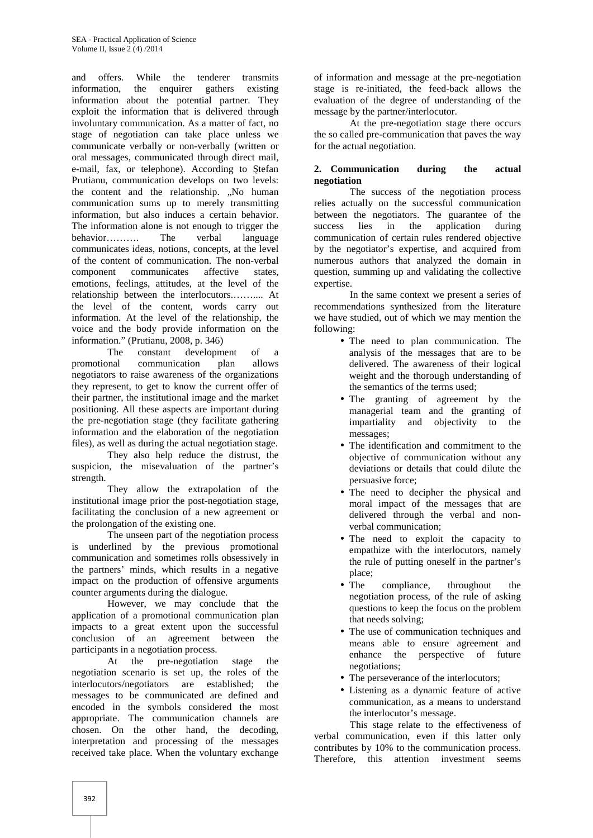and offers. While the tenderer transmits information, the enquirer gathers existing information about the potential partner. They exploit the information that is delivered through involuntary communication. As a matter of fact, no stage of negotiation can take place unless we communicate verbally or non-verbally (written or oral messages, communicated through direct mail, e-mail, fax, or telephone). According to tefan Prutianu, communication develops on two levels: the content and the relationship. "No human communication sums up to merely transmitting information, but also induces a certain behavior. The information alone is not enough to trigger the behavior………. The verbal language communicates ideas, notions, concepts, at the level of the content of communication. The non-verbal component communicates affective states, emotions, feelings, attitudes, at the level of the relationship between the interlocutors.…….... At the level of the content, words carry out information. At the level of the relationship, the voice and the body provide information on the information." (Prutianu, 2008, p. 346)

The constant development of a<br>nal communication plan allows promotional communication plan allows negotiators to raise awareness of the organizations they represent, to get to know the current offer of their partner, the institutional image and the market positioning. All these aspects are important during the pre-negotiation stage (they facilitate gathering information and the elaboration of the negotiation files), as well as during the actual negotiation stage.

They also help reduce the distrust, the suspicion, the misevaluation of the partner's strength.

They allow the extrapolation of the institutional image prior the post-negotiation stage, facilitating the conclusion of a new agreement or the prolongation of the existing one.

The unseen part of the negotiation process is underlined by the previous promotional communication and sometimes rolls obsessively in the partners' minds, which results in a negative impact on the production of offensive arguments counter arguments during the dialogue.

However, we may conclude that the application of a promotional communication plan impacts to a great extent upon the successful conclusion of an agreement between the participants in a negotiation process.

At the pre-negotiation stage the negotiation scenario is set up, the roles of the interlocutors/negotiators are established; the messages to be communicated are defined and encoded in the symbols considered the most appropriate. The communication channels are chosen. On the other hand, the decoding, interpretation and processing of the messages received take place. When the voluntary exchange

of information and message at the pre-negotiation stage is re-initiated, the feed-back allows the evaluation of the degree of understanding of the message by the partner/interlocutor.

At the pre-negotiation stage there occurs the so called pre-communication that paves the way for the actual negotiation.

# **2. Communication during the actual negotiation**

The success of the negotiation process relies actually on the successful communication between the negotiators. The guarantee of the success lies in the application during communication of certain rules rendered objective by the negotiator's expertise, and acquired from numerous authors that analyzed the domain in question, summing up and validating the collective expertise.

In the same context we present a series of recommendations synthesized from the literature we have studied, out of which we may mention the following:

- The need to plan communication. The analysis of the messages that are to be delivered. The awareness of their logical weight and the thorough understanding of the semantics of the terms used;
- The granting of agreement by the managerial team and the granting of impartiality and objectivity to the messages;
- The identification and commitment to the objective of communication without any deviations or details that could dilute the persuasive force;
- The need to decipher the physical and moral impact of the messages that are delivered through the verbal and non verbal communication;
- The need to exploit the capacity to empathize with the interlocutors, namely the rule of putting oneself in the partner's place;
- The compliance, throughout the negotiation process, of the rule of asking questions to keep the focus on the problem that needs solving;
- The use of communication techniques and means able to ensure agreement and enhance the perspective of future negotiations;
- The perseverance of the interlocutors;
- Listening as a dynamic feature of active communication, as a means to understand the interlocutor's message.

This stage relate to the effectiveness of verbal communication, even if this latter only contributes by 10% to the communication process. Therefore, this attention investment seems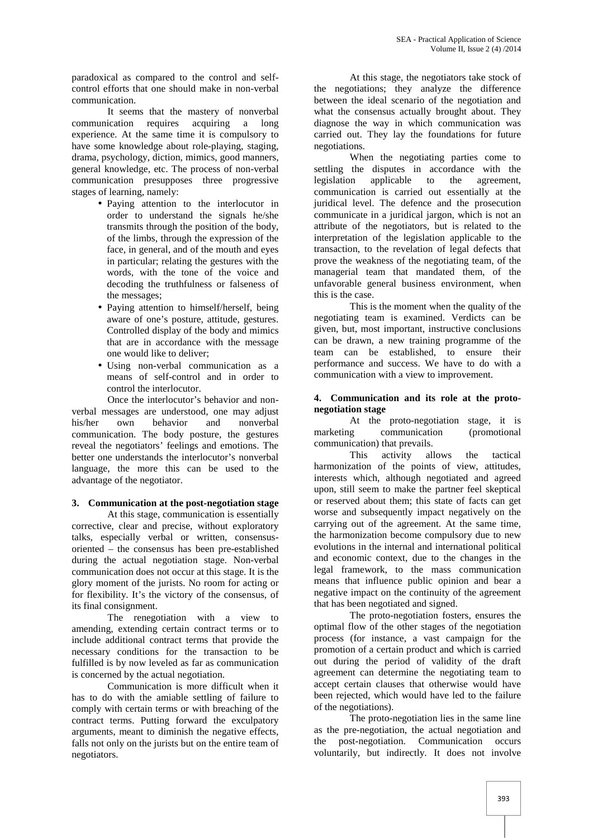paradoxical as compared to the control and self control efforts that one should make in non-verbal communication.

It seems that the mastery of nonverbal communication requires acquiring a long experience. At the same time it is compulsory to have some knowledge about role-playing, staging, drama, psychology, diction, mimics, good manners, general knowledge, etc. The process of non-verbal communication presupposes three progressive stages of learning, namely:

- Paying attention to the interlocutor in order to understand the signals he/she transmits through the position of the body, of the limbs, through the expression of the face, in general, and of the mouth and eyes in particular; relating the gestures with the words, with the tone of the voice and decoding the truthfulness or falseness of the messages;
- Paying attention to himself/herself, being aware of one's posture, attitude, gestures. Controlled display of the body and mimics that are in accordance with the message one would like to deliver;
- Using non-verbal communication as a means of self-control and in order to control the interlocutor.

Once the interlocutor's behavior and non verbal messages are understood, one may adjust his/her own behavior and nonverbal communication. The body posture, the gestures reveal the negotiators' feelings and emotions. The better one understands the interlocutor's nonverbal language, the more this can be used to the advantage of the negotiator.

# **3. Communication at the post-negotiation stage**

At this stage, communication is essentially corrective, clear and precise, without exploratory talks, especially verbal or written, consensus oriented – the consensus has been pre-established during the actual negotiation stage. Non-verbal communication does not occur at this stage. It is the glory moment of the jurists. No room for acting or for flexibility. It's the victory of the consensus, of its final consignment.

The renegotiation with a view to amending, extending certain contract terms or to include additional contract terms that provide the necessary conditions for the transaction to be fulfilled is by now leveled as far as communication is concerned by the actual negotiation.

Communication is more difficult when it has to do with the amiable settling of failure to comply with certain terms or with breaching of the contract terms. Putting forward the exculpatory arguments, meant to diminish the negative effects, falls not only on the jurists but on the entire team of negotiators.

At this stage, the negotiators take stock of the negotiations; they analyze the difference between the ideal scenario of the negotiation and what the consensus actually brought about. They diagnose the way in which communication was carried out. They lay the foundations for future negotiations.

When the negotiating parties come to settling the disputes in accordance with the legislation applicable to the agreement, communication is carried out essentially at the juridical level. The defence and the prosecution communicate in a juridical jargon, which is not an attribute of the negotiators, but is related to the interpretation of the legislation applicable to the transaction, to the revelation of legal defects that prove the weakness of the negotiating team, of the managerial team that mandated them, of the unfavorable general business environment, when this is the case.

This is the moment when the quality of the negotiating team is examined. Verdicts can be given, but, most important, instructive conclusions can be drawn, a new training programme of the team can be established, to ensure their performance and success. We have to do with a communication with a view to improvement.

# **4. Communication and its role at the proto negotiation stage**

At the proto-negotiation stage, it is marketing communication (promotional communication) that prevails.

This activity allows the tactical harmonization of the points of view, attitudes, interests which, although negotiated and agreed upon, still seem to make the partner feel skeptical or reserved about them; this state of facts can get worse and subsequently impact negatively on the carrying out of the agreement. At the same time, the harmonization become compulsory due to new evolutions in the internal and international political and economic context, due to the changes in the legal framework, to the mass communication means that influence public opinion and bear a negative impact on the continuity of the agreement that has been negotiated and signed.

The proto-negotiation fosters, ensures the optimal flow of the other stages of the negotiation process (for instance, a vast campaign for the promotion of a certain product and which is carried out during the period of validity of the draft agreement can determine the negotiating team to accept certain clauses that otherwise would have been rejected, which would have led to the failure of the negotiations).

The proto-negotiation lies in the same line as the pre-negotiation, the actual negotiation and the post-negotiation. Communication occurs voluntarily, but indirectly. It does not involve